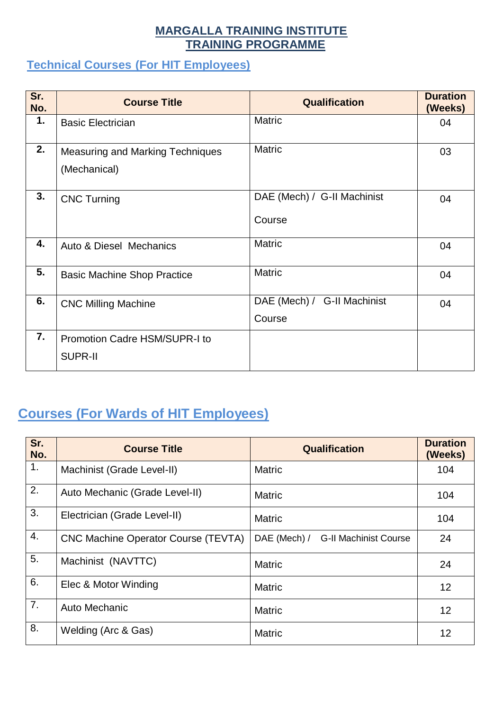#### **MARGALLA TRAINING INSTITUTE TRAINING PROGRAMME**

#### **Technical Courses (For HIT Employees)**

| Sr.<br>No. | <b>Course Title</b>                                     | <b>Qualification</b>                  | <b>Duration</b><br>(Weeks) |
|------------|---------------------------------------------------------|---------------------------------------|----------------------------|
| 1.         | <b>Basic Electrician</b>                                | <b>Matric</b>                         | 04                         |
| 2.         | <b>Measuring and Marking Techniques</b><br>(Mechanical) | <b>Matric</b>                         | 03                         |
| 3.         | <b>CNC Turning</b>                                      | DAE (Mech) / G-II Machinist<br>Course | 04                         |
| 4.         | <b>Auto &amp; Diesel Mechanics</b>                      | <b>Matric</b>                         | 04                         |
| 5.         | <b>Basic Machine Shop Practice</b>                      | <b>Matric</b>                         | 04                         |
| 6.         | <b>CNC Milling Machine</b>                              | DAE (Mech) / G-II Machinist<br>Course | 04                         |
| 7.         | <b>Promotion Cadre HSM/SUPR-I to</b><br><b>SUPR-II</b>  |                                       |                            |

# **Courses (For Wards of HIT Employees)**

| Sr.<br>No. | <b>Course Title</b>                        | Qualification                                | <b>Duration</b><br>(Weeks) |
|------------|--------------------------------------------|----------------------------------------------|----------------------------|
| 1.         | Machinist (Grade Level-II)                 | <b>Matric</b>                                | 104                        |
| 2.         | Auto Mechanic (Grade Level-II)             | <b>Matric</b>                                | 104                        |
| 3.         | Electrician (Grade Level-II)               | <b>Matric</b>                                | 104                        |
| 4.         | <b>CNC Machine Operator Course (TEVTA)</b> | DAE (Mech) /<br><b>G-II Machinist Course</b> | 24                         |
| 5.         | Machinist (NAVTTC)                         | <b>Matric</b>                                | 24                         |
| 6.         | Elec & Motor Winding                       | <b>Matric</b>                                | 12                         |
| 7.         | Auto Mechanic                              | <b>Matric</b>                                | 12                         |
| 8.         | Welding (Arc & Gas)                        | <b>Matric</b>                                | 12                         |